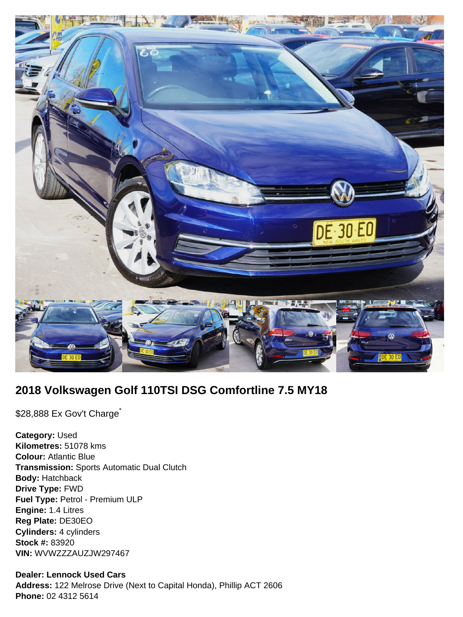

# **2018 Volkswagen Golf 110TSI DSG Comfortline 7.5 MY18**

\$28,888 Ex Gov't Charge<sup>\*</sup>

**Category:** Used **Kilometres:** 51078 kms **Colour:** Atlantic Blue **Transmission:** Sports Automatic Dual Clutch **Body:** Hatchback **Drive Type:** FWD **Fuel Type:** Petrol - Premium ULP **Engine:** 1.4 Litres **Reg Plate:** DE30EO **Cylinders:** 4 cylinders **Stock #:** 83920 **VIN:** WVWZZZAUZJW297467

## **Dealer: Lennock Used Cars**

**Address:** 122 Melrose Drive (Next to Capital Honda), Phillip ACT 2606 **Phone:** 02 4312 5614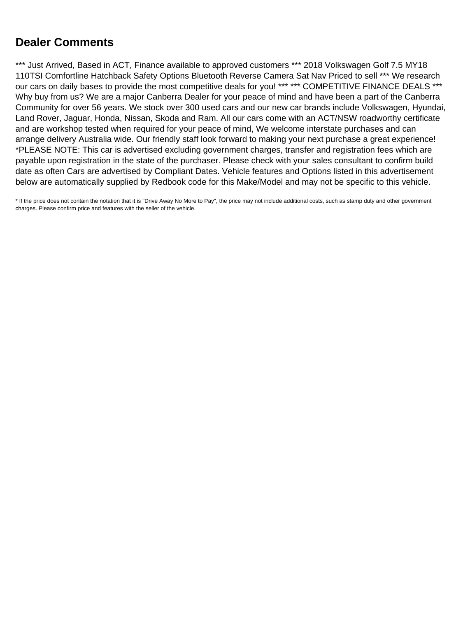## **Dealer Comments**

\*\*\* Just Arrived, Based in ACT, Finance available to approved customers \*\*\* 2018 Volkswagen Golf 7.5 MY18 110TSI Comfortline Hatchback Safety Options Bluetooth Reverse Camera Sat Nav Priced to sell \*\*\* We research our cars on daily bases to provide the most competitive deals for you! \*\*\* \*\*\* COMPETITIVE FINANCE DEALS \*\*\* Why buy from us? We are a major Canberra Dealer for your peace of mind and have been a part of the Canberra Community for over 56 years. We stock over 300 used cars and our new car brands include Volkswagen, Hyundai, Land Rover, Jaguar, Honda, Nissan, Skoda and Ram. All our cars come with an ACT/NSW roadworthy certificate and are workshop tested when required for your peace of mind, We welcome interstate purchases and can arrange delivery Australia wide. Our friendly staff look forward to making your next purchase a great experience! \*PLEASE NOTE: This car is advertised excluding government charges, transfer and registration fees which are payable upon registration in the state of the purchaser. Please check with your sales consultant to confirm build date as often Cars are advertised by Compliant Dates. Vehicle features and Options listed in this advertisement below are automatically supplied by Redbook code for this Make/Model and may not be specific to this vehicle.

\* If the price does not contain the notation that it is "Drive Away No More to Pay", the price may not include additional costs, such as stamp duty and other government charges. Please confirm price and features with the seller of the vehicle.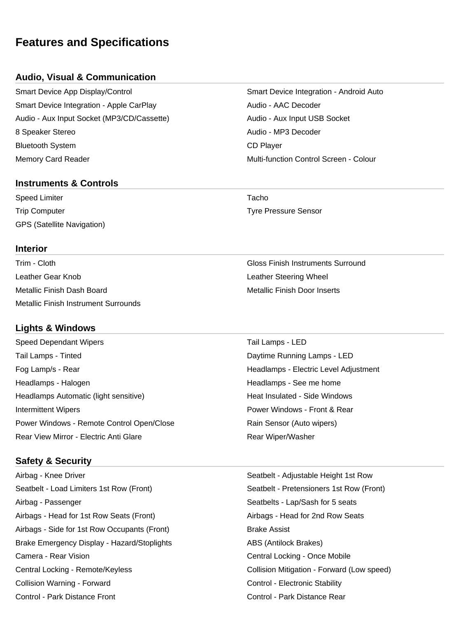## **Features and Specifications**

### **Audio, Visual & Communication**

Smart Device App Display/Control Smart Device Integration - Android Auto Smart Device Integration - Apple CarPlay Manuel Audio - AAC Decoder Audio - Aux Input Socket (MP3/CD/Cassette) Audio - Aux Input USB Socket 8 Speaker Stereo **Audio - MP3 Decoder** Audio - MP3 Decoder Bluetooth System **CD** Player Memory Card Reader Multi-function Control Screen - Colour

#### **Instruments & Controls**

Speed Limiter Tacho and Tacho and Tacho and Tacho and Tacho and Tacho and Tacho and Tacho and Tacho and Tacho Trip Computer Tyre Pressure Sensor GPS (Satellite Navigation)

#### **Interior**

Trim - Cloth Gloss Finish Instruments Surround Leather Gear Knob Leather Steering Wheel Metallic Finish Dash Board Metallic Finish Door Inserts Metallic Finish Instrument Surrounds

## **Lights & Windows**

Speed Dependant Wipers Tail Lamps - LED Tail Lamps - Tinted **Tail Community Community** Capture Running Lamps - LED Fog Lamp/s - Rear Headlamps - Electric Level Adjustment Headlamps - Halogen **Headlamps - See me home** Headlamps - See me home Headlamps Automatic (light sensitive) **Heat Insulated - Side Windows** Heat Insulated - Side Windows **Intermittent Wipers** Power Windows - Front & Rear Power Windows - Remote Control Open/Close **Rain Sensor (Auto wipers)** Rear View Mirror - Electric Anti Glare **Rear Wiper/Washer** Rear Wiper/Washer

## **Safety & Security**

Airbag - Knee Driver Seatbelt - Adjustable Height 1st Row Seatbelt - Load Limiters 1st Row (Front) Seatbelt - Pretensioners 1st Row (Front) Airbag - Passenger Seatbelts - Lap/Sash for 5 seats Airbags - Head for 1st Row Seats (Front) Airbags - Head for 2nd Row Seats Airbags - Side for 1st Row Occupants (Front) Brake Assist Brake Emergency Display - Hazard/Stoplights **ABS** (Antilock Brakes) Camera - Rear Vision Central Locking - Once Mobile Central Locking - Remote/Keyless Collision Mitigation - Forward (Low speed) Collision Warning - Forward Control - Electronic Stability Control - Park Distance Front Control - Park Distance Rear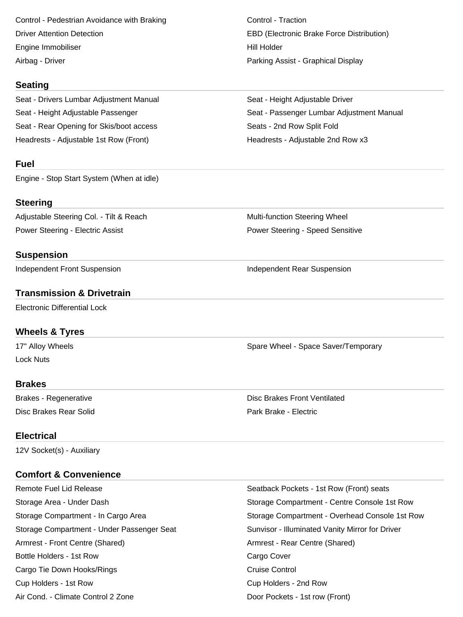Control - Pedestrian Avoidance with Braking Control - Traction Driver Attention Detection EBD (Electronic Brake Force Distribution) Engine Immobiliser North Communication and the Hill Holder Airbag - Driver Parking Assist - Graphical Display

#### **Seating**

Seat - Drivers Lumbar Adjustment Manual Seat - Height Adjustable Driver Seat - Rear Opening for Skis/boot access Seats - 2nd Row Split Fold Headrests - Adjustable 1st Row (Front) The Meadrests - Adjustable 2nd Row x3

#### **Fuel**

Engine - Stop Start System (When at idle)

## **Steering**

Adjustable Steering Col. - Tilt & Reach Multi-function Steering Wheel Power Steering - Electric Assist **Power Steering - Speed Sensitive** Power Steering - Speed Sensitive

## **Suspension**

Independent Front Suspension **Independent Rear Suspension** Independent Rear Suspension

## **Transmission & Drivetrain**

Electronic Differential Lock

## **Wheels & Tyres**

17" Alloy Wheels **Spare Wheel - Space Saver/Temporary** Spare Wheel - Space Saver/Temporary Lock Nuts

#### **Brakes**

Disc Brakes Rear Solid Park Brake - Electric

Seat - Height Adjustable Passenger Seat - Passenger Lumbar Adjustment Manual

Brakes - Regenerative **Disc Brakes Front Ventilated** 

## **Electrical**

12V Socket(s) - Auxiliary

## **Comfort & Convenience**

Remote Fuel Lid Release Seatback Pockets - 1st Row (Front) seats Storage Compartment - Under Passenger Seat Sunvisor - Illuminated Vanity Mirror for Driver Armrest - Front Centre (Shared) **Armrest - Rear Centre (Shared**) Bottle Holders - 1st Row Cargo Cover Cargo Tie Down Hooks/Rings Cargo Cruise Control Cup Holders - 1st Row Cup Holders - 2nd Row Air Cond. - Climate Control 2 Zone **Door Pockets - 1st row (Front)** Door Pockets - 1st row (Front)

Storage Area - Under Dash Storage Compartment - Centre Console 1st Row Storage Compartment - In Cargo Area Storage Compartment - Overhead Console 1st Row